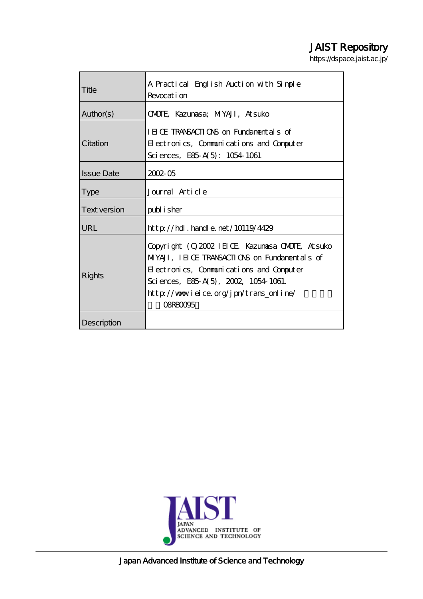# JAIST Repository

https://dspace.jaist.ac.jp/

| Title             | A Practical English Auction with Simple                                                                                                                                                                                                           |  |
|-------------------|---------------------------------------------------------------------------------------------------------------------------------------------------------------------------------------------------------------------------------------------------|--|
|                   | Revocation                                                                                                                                                                                                                                        |  |
| Author(s)         | <b>ONDIE, Kazunasa; MIYAJI, Atsuko</b>                                                                                                                                                                                                            |  |
| Citation          | IEICE TRANSACTIONS on Fundamentals of                                                                                                                                                                                                             |  |
|                   | Electronics, Communications and Computer                                                                                                                                                                                                          |  |
|                   | Sciences, E85 A(5): 1054 1061                                                                                                                                                                                                                     |  |
| <b>Issue Date</b> | $2002 - 05$                                                                                                                                                                                                                                       |  |
| <b>Type</b>       | Journal Article                                                                                                                                                                                                                                   |  |
| Text version      | publisher                                                                                                                                                                                                                                         |  |
| URL               | http://hdl.handle.net/10119/4429                                                                                                                                                                                                                  |  |
| Rights            | Copyright (C) 2002 IEIOE Kazumasa OMODE, Atsuko<br>MIYAJI, IEICE TRANSACTIONS on Fundamentals of<br>Electronics, Communications and Computer<br>Sciences, E85 A(5), 2002, 1054 1061.<br>http://www.ieice.org/jpn/trans_online/<br><b>OBRBOOG5</b> |  |
| Description       |                                                                                                                                                                                                                                                   |  |



Japan Advanced Institute of Science and Technology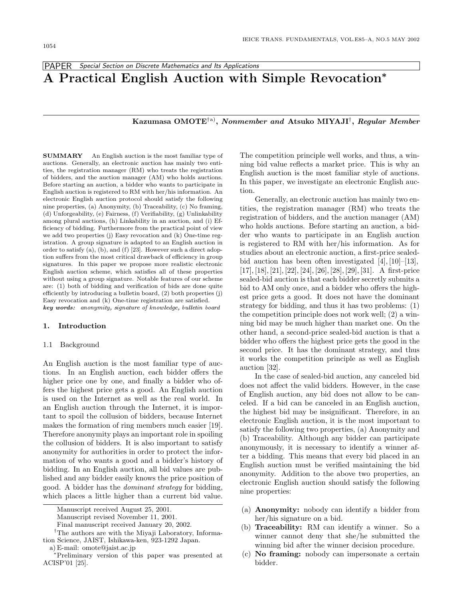PAPER Special Section on Discrete Mathematics and Its Applications

# **A Practical English Auction with Simple Revocation***<sup>∗</sup>*

**Kazumasa OMOTE**†a)**,** *Nonmember and* **Atsuko MIYAJI**†**,** *Regular Member*

**SUMMARY** An English auction is the most familiar type of auctions. Generally, an electronic auction has mainly two entities, the registration manager (RM) who treats the registration of bidders, and the auction manager (AM) who holds auctions. Before starting an auction, a bidder who wants to participate in English auction is registered to RM with her/his information. An electronic English auction protocol should satisfy the following nine properties, (a) Anonymity, (b) Traceability, (c) No framing, (d) Unforgeability, (e) Fairness,  $(f)$  Verifiability,  $(g)$  Unlinkability among plural auctions, (h) Linkability in an auction, and (i) Efficiency of bidding. Furthermore from the practical point of view we add two properties  $(j)$  Easy revocation and  $(k)$  One-time registration. A group signature is adapted to an English auction in order to satisfy (a), (b), and (f) [23]. However such a direct adoption suffers from the most critical drawback of efficiency in group signatures. In this paper we propose more realistic electronic English auction scheme, which satisfies all of these properties without using a group signature. Notable features of our scheme are: (1) both of bidding and verification of bids are done quite efficiently by introducing a bulletin board,  $(2)$  both properties  $(j)$ Easy revocation and (k) One-time registration are satisfied. *key words:* anonymity, signature of knowledge, bulletin board

## **1. Introduction**

#### 1.1 Background

An English auction is the most familiar type of auctions. In an English auction, each bidder offers the higher price one by one, and finally a bidder who offers the highest price gets a good. An English auction is used on the Internet as well as the real world. In an English auction through the Internet, it is important to spoil the collusion of bidders, because Internet makes the formation of ring members much easier [19]. Therefore anonymity plays an important role in spoiling the collusion of bidders. It is also important to satisfy anonymity for authorities in order to protect the information of who wants a good and a bidder's history of bidding. In an English auction, all bid values are published and any bidder easily knows the price position of good. A bidder has the dominant strategy for bidding, which places a little higher than a current bid value.

The competition principle well works, and thus, a winning bid value reflects a market price. This is why an English auction is the most familiar style of auctions. In this paper, we investigate an electronic English auction.

Generally, an electronic auction has mainly two entities, the registration manager (RM) who treats the registration of bidders, and the auction manager (AM) who holds auctions. Before starting an auction, a bidder who wants to participate in an English auction is registered to RM with her/his information. As for studies about an electronic auction, a first-price sealedbid auction has been often investigated [4], [10]–[13], [17], [18], [21], [22], [24], [26], [28], [29], [31]. A first-price sealed-bid auction is that each bidder secretly submits a bid to AM only once, and a bidder who offers the highest price gets a good. It does not have the dominant strategy for bidding, and thus it has two problems: (1) the competition principle does not work well; (2) a winning bid may be much higher than market one. On the other hand, a second-price sealed-bid auction is that a bidder who offers the highest price gets the good in the second price. It has the dominant strategy, and thus it works the competition principle as well as English auction [32].

In the case of sealed-bid auction, any canceled bid does not affect the valid bidders. However, in the case of English auction, any bid does not allow to be canceled. If a bid can be canceled in an English auction, the highest bid may be insignificant. Therefore, in an electronic English auction, it is the most important to satisfy the following two properties, (a) Anonymity and (b) Traceability. Although any bidder can participate anonymously, it is necessary to identify a winner after a bidding. This means that every bid placed in an English auction must be verified maintaining the bid anonymity. Addition to the above two properties, an electronic English auction should satisfy the following nine properties:

- (a) **Anonymity:** nobody can identify a bidder from her/his signature on a bid.
- (b) **Traceability:** RM can identify a winner. So a winner cannot deny that she/he submitted the winning bid after the winner decision procedure.
- (c) **No framing:** nobody can impersonate a certain bidder.

Manuscript received August 25, 2001.

Manuscript revised November 11, 2001.

Final manuscript received January 20, 2002.

<sup>†</sup>The authors are with the Miyaji Laboratory, Information Science, JAIST, Ishikawa-ken, 923-1292 Japan.

a) E-mail: omote@jaist.ac.jp

<sup>∗</sup>Preliminary version of this paper was presented at ACISP'01 [25].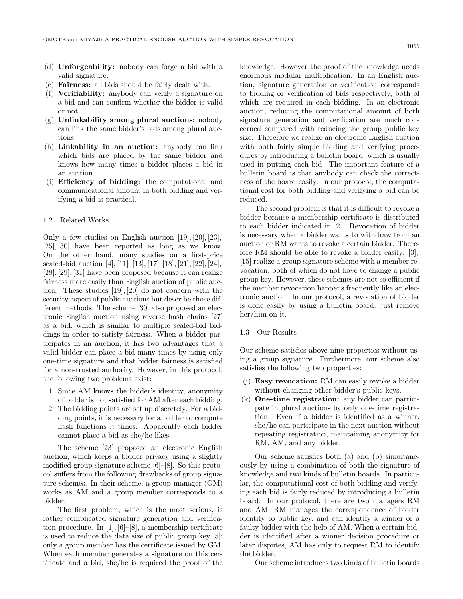- (d) **Unforgeability:** nobody can forge a bid with a valid signature.
- (e) **Fairness:** all bids should be fairly dealt with.
- (f) **Verifiability:** anybody can verify a signature on a bid and can confirm whether the bidder is valid or not.
- (g) **Unlinkability among plural auctions:** nobody can link the same bidder's bids among plural auctions.
- (h) **Linkability in an auction:** anybody can link which bids are placed by the same bidder and knows how many times a bidder places a bid in an auction.
- (i) **Efficiency of bidding:** the computational and communicational amount in both bidding and verifying a bid is practical.

#### 1.2 Related Works

Only a few studies on English auction [19], [20], [23], [25], [30] have been reported as long as we know. On the other hand, many studies on a first-price sealed-bid auction [4], [11]–[13], [17], [18], [21], [22], [24], [28], [29], [31] have been proposed because it can realize fairness more easily than English auction of public auction. These studies [19], [20] do not concern with the security aspect of public auctions but describe those different methods. The scheme [30] also proposed an electronic English auction using reverse hash chains [27] as a bid, which is similar to multiple sealed-bid biddings in order to satisfy fairness. When a bidder participates in an auction, it has two advantages that a valid bidder can place a bid many times by using only one-time signature and that bidder fairness is satisfied for a non-trusted authority. However, in this protocol, the following two problems exist:

- 1. Since AM knows the bidder's identity, anonymity of bidder is not satisfied for AM after each bidding.
- 2. The bidding points are set up discretely. For  $n$  bidding points, it is necessary for a bidder to compute hash functions  $n$  times. Apparently each bidder cannot place a bid as she/he likes.

The scheme [23] proposed an electronic English auction, which keeps a bidder privacy using a slightly modified group signature scheme [6]–[8]. So this protocol suffers from the following drawbacks of group signature schemes. In their scheme, a group manager (GM) works as AM and a group member corresponds to a bidder.

The first problem, which is the most serious, is rather complicated signature generation and verification procedure. In [1], [6]–[8], a membership certificate is used to reduce the data size of public group key [5]: only a group member has the certificate issued by GM. When each member generates a signature on this certificate and a bid, she/he is required the proof of the

knowledge. However the proof of the knowledge needs enormous modular multiplication. In an English auction, signature generation or verification corresponds to bidding or verification of bids respectively, both of which are required in each bidding. In an electronic auction, reducing the computational amount of both signature generation and verification are much concerned compared with reducing the group public key size. Therefore we realize an electronic English auction with both fairly simple bidding and verifying procedures by introducing a bulletin board, which is usually used in putting each bid. The important feature of a bulletin board is that anybody can check the correctness of the board easily. In our protocol, the computational cost for both bidding and verifying a bid can be reduced.

The second problem is that it is difficult to revoke a bidder because a membership certificate is distributed to each bidder indicated in [2]. Revocation of bidder is necessary when a bidder wants to withdraw from an auction or RM wants to revoke a certain bidder. Therefore RM should be able to revoke a bidder easily. [3], [15] realize a group signature scheme with a member revocation, both of which do not have to change a public group key. However, these schemes are not so efficient if the member revocation happens frequently like an electronic auction. In our protocol, a revocation of bidder is done easily by using a bulletin board: just remove her/him on it.

## 1.3 Our Results

Our scheme satisfies above nine properties without using a group signature. Furthermore, our scheme also satisfies the following two properties:

- (j) **Easy revocation:** RM can easily revoke a bidder without changing other bidder's public keys.
- (k) **One-time registration:** any bidder can participate in plural auctions by only one-time registration. Even if a bidder is identified as a winner, she/he can participate in the next auction without repeating registration, maintaining anonymity for RM, AM, and any bidder.

Our scheme satisfies both (a) and (b) simultaneously by using a combination of both the signature of knowledge and two kinds of bulletin boards. In particular, the computational cost of both bidding and verifying each bid is fairly reduced by introducing a bulletin board. In our protocol, there are two managers RM and AM. RM manages the correspondence of bidder identity to public key, and can identify a winner or a faulty bidder with the help of AM. When a certain bidder is identified after a winner decision procedure or later disputes, AM has only to request RM to identify the bidder.

Our scheme introduces two kinds of bulletin boards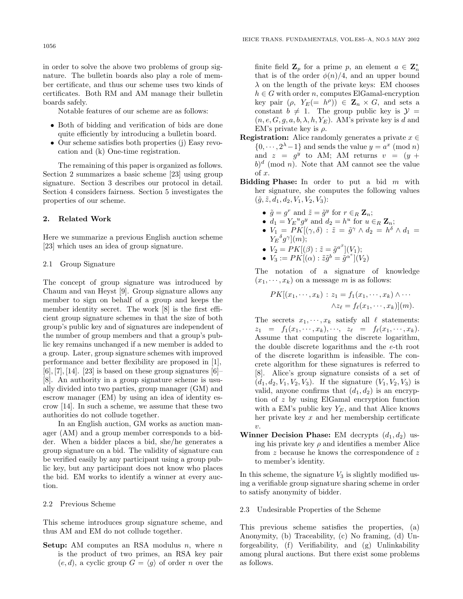in order to solve the above two problems of group signature. The bulletin boards also play a role of member certificate, and thus our scheme uses two kinds of certificates. Both RM and AM manage their bulletin boards safely.

Notable features of our scheme are as follows:

- Both of bidding and verification of bids are done quite efficiently by introducing a bulletin board.
- Our scheme satisfies both properties (j) Easy revocation and (k) One-time registration.

The remaining of this paper is organized as follows. Section 2 summarizes a basic scheme [23] using group signature. Section 3 describes our protocol in detail. Section 4 considers fairness. Section 5 investigates the properties of our scheme.

#### **2. Related Work**

Here we summarize a previous English auction scheme [23] which uses an idea of group signature.

#### 2.1 Group Signature

The concept of group signature was introduced by Chaum and van Heyst [9]. Group signature allows any member to sign on behalf of a group and keeps the member identity secret. The work [8] is the first efficient group signature schemes in that the size of both group's public key and of signatures are independent of the number of group members and that a group's public key remains unchanged if a new member is added to a group. Later, group signature schemes with improved performance and better flexibility are proposed in [1],  $[6]$ ,  $[7]$ ,  $[14]$ .  $[23]$  is based on these group signatures  $[6]$ [8]. An authority in a group signature scheme is usually divided into two parties, group manager (GM) and escrow manager (EM) by using an idea of identity escrow [14]. In such a scheme, we assume that these two authorities do not collude together.

In an English auction, GM works as auction manager (AM) and a group member corresponds to a bidder. When a bidder places a bid, she/he generates a group signature on a bid. The validity of signature can be verified easily by any participant using a group public key, but any participant does not know who places the bid. EM works to identify a winner at every auction.

#### 2.2 Previous Scheme

This scheme introduces group signature scheme, and thus AM and EM do not collude together.

**Setup:** AM computes an RSA modulus  $n$ , where  $n$ is the product of two primes, an RSA key pair  $(e, d)$ , a cyclic group  $G = \langle g \rangle$  of order *n* over the

finite field  $\mathbf{Z}_p$  for a prime p, an element  $a \in \mathbf{Z}_n^*$ that is of the order  $\phi(n)/4$ , and an upper bound  $\lambda$  on the length of the private keys: EM chooses  $h \in G$  with order n, computes ElGamal-encryption key pair  $(\rho, Y_E (= h^{\rho})) \in \mathbb{Z}_n \times G$ , and sets a constant  $b \neq 1$ . The group public key is  $\mathcal{Y} =$  $(n, e, G, g, a, b, \lambda, h, Y_E)$ . AM's private key is d and EM's private key is  $\rho$ .

- **Registration:** Alice randomly generates a private  $x \in \mathbb{R}$  $\{0, \dots, 2^{\lambda}-1\}$  and sends the value  $y = a^x \pmod{n}$ and  $z = g^y$  to AM; AM returns  $v = (y +$  $b)^d$  (mod n). Note that AM cannot see the value of x.
- **Bidding Phase:** In order to put a bid m with her signature, she computes the following values  $(\tilde{g}, \tilde{z}, d_1, d_2, V_1, V_2, V_3)$ :
	- $\tilde{g} = g^r$  and  $\tilde{z} = \tilde{g}^y$  for  $r \in_R \mathbb{Z}_n$ ;
	- $d_1 = Y_E^u g^y$  and  $d_2 = h^u$  for  $u \in_R \mathbb{Z}_n$ ;
	- $V_1 = P K [(\gamma, \delta) : \tilde{z} = \tilde{g}^{\gamma} \wedge d_2 = h^{\delta} \wedge d_1 =$  $Y_E{}^{\delta}g^{\gamma}](m);$
	- $V_2 = PK[(\beta) : \tilde{z} = \tilde{g}^{a^{\beta}}](V_1);$
	- $V_3 := PK[(\alpha):\tilde{z}\tilde{g}^b = \tilde{g}^{\alpha^e}](V_2)$

The notation of a signature of knowledge  $(x_1, \dots, x_k)$  on a message m is as follows:

$$
PK[(x_1, \dots, x_k) : z_1 = f_1(x_1, \dots, x_k) \land \dots \land z_\ell = f_\ell(x_1, \dots, x_k)](m).
$$

The secrets  $x_1, \dots, x_k$  satisfy all  $\ell$  statements:  $z_1 = f_1(x_1, \dots, x_k), \dots, z_\ell = f_\ell(x_1, \dots, x_k).$ Assume that computing the discrete logarithm, the double discrete logarithms and the e-th root of the discrete logarithm is infeasible. The concrete algorithm for these signatures is referred to [8]. Alice's group signature consists of a set of  $(d_1, d_2, V_1, V_2, V_3)$ . If the signature  $(V_1, V_2, V_3)$  is valid, anyone confirms that  $(d_1, d_2)$  is an encryption of z by using ElGamal encryption function with a EM's public key  $Y_E$ , and that Alice knows her private key  $x$  and her membership certificate  $\upsilon.$ 

**Winner Decision Phase:** EM decrypts  $(d_1, d_2)$  using his private key  $\rho$  and identifies a member Alice from z because he knows the correspondence of z to member's identity.

In this scheme, the signature  $V_3$  is slightly modified using a verifiable group signature sharing scheme in order to satisfy anonymity of bidder.

# 2.3 Undesirable Properties of the Scheme

This previous scheme satisfies the properties, (a) Anonymity, (b) Traceability, (c) No framing, (d) Unforgeability, (f) Verifiability, and (g) Unlinkability among plural auctions. But there exist some problems as follows.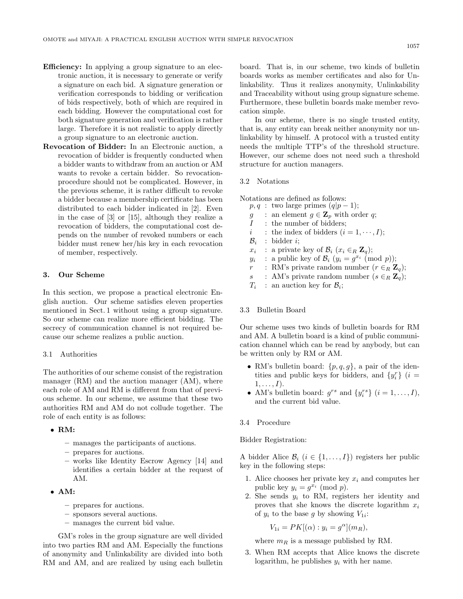- **Efficiency:** In applying a group signature to an electronic auction, it is necessary to generate or verify a signature on each bid. A signature generation or verification corresponds to bidding or verification of bids respectively, both of which are required in each bidding. However the computational cost for both signature generation and verification is rather large. Therefore it is not realistic to apply directly a group signature to an electronic auction.
- **Revocation of Bidder:** In an Electronic auction, a revocation of bidder is frequently conducted when a bidder wants to withdraw from an auction or AM wants to revoke a certain bidder. So revocationprocedure should not be complicated. However, in the previous scheme, it is rather difficult to revoke a bidder because a membership certificate has been distributed to each bidder indicated in [2]. Even in the case of [3] or [15], although they realize a revocation of bidders, the computational cost depends on the number of revoked numbers or each bidder must renew her/his key in each revocation of member, respectively.

### **3. Our Scheme**

In this section, we propose a practical electronic English auction. Our scheme satisfies eleven properties mentioned in Sect. 1 without using a group signature. So our scheme can realize more efficient bidding. The secrecy of communication channel is not required because our scheme realizes a public auction.

#### 3.1 Authorities

The authorities of our scheme consist of the registration manager (RM) and the auction manager (AM), where each role of AM and RM is different from that of previous scheme. In our scheme, we assume that these two authorities RM and AM do not collude together. The role of each entity is as follows:

### • **RM:**

- **–** manages the participants of auctions.
- **–** prepares for auctions.
- **–** works like Identity Escrow Agency [14] and identifies a certain bidder at the request of AM.
- **AM:**
	- **–** prepares for auctions.
	- **–** sponsors several auctions.
	- **–** manages the current bid value.

GM's roles in the group signature are well divided into two parties RM and AM. Especially the functions of anonymity and Unlinkability are divided into both RM and AM, and are realized by using each bulletin

board. That is, in our scheme, two kinds of bulletin boards works as member certificates and also for Unlinkability. Thus it realizes anonymity, Unlinkability and Traceability without using group signature scheme. Furthermore, these bulletin boards make member revocation simple.

In our scheme, there is no single trusted entity, that is, any entity can break neither anonymity nor unlinkability by himself. A protocol with a trusted entity needs the multiple TTP's of the threshold structure. However, our scheme does not need such a threshold structure for auction managers.

#### 3.2 Notations

Notations are defined as follows:

- $p, q$ : two large primes  $(q|p-1);$
- g : an element  $g \in \mathbf{Z}_p$  with order q;
- $I$  : the number of bidders;
- i : the index of bidders  $(i = 1, \dots, I);$
- $\mathcal{B}_i$  : bidder *i*;
- $x_i$  : a private key of  $\mathcal{B}_i$  ( $x_i \in_R \mathbb{Z}_q$ );
- $y_i$  : a public key of  $\mathcal{B}_i$   $(y_i = q^{x_i} \pmod{p})$ ;
- $r$  : RM's private random number  $(r \in_R \mathbb{Z}_q)$ ;
- s : AM's private random number  $(s \in_R \mathbb{Z}_q)$ ;
- $T_i$ : an auction key for  $\mathcal{B}_i$ ;

## 3.3 Bulletin Board

Our scheme uses two kinds of bulletin boards for RM and AM. A bulletin board is a kind of public communication channel which can be read by anybody, but can be written only by RM or AM.

- RM's bulletin board:  $\{p,q,g\}$ , a pair of the identities and public keys for bidders, and  $\{y_i^r\}$  (*i* =  $1,\ldots,I$ ).
- AM's bulletin board:  $g^{rs}$  and  $\{y_i^{rs}\}$   $(i = 1, \ldots, I)$ , and the current bid value.
- 3.4 Procedure

## Bidder Registration:

A bidder Alice  $\mathcal{B}_i$  ( $i \in \{1, ..., I\}$ ) registers her public key in the following steps:

- 1. Alice chooses her private key  $x_i$  and computes her public key  $y_i = g^{x_i} \pmod{p}$ .
- 2. She sends  $y_i$  to RM, registers her identity and proves that she knows the discrete logarithm  $x_i$ of  $y_i$  to the base g by showing  $V_{1i}$ :

$$
V_{1i} = PK[(\alpha) : y_i = g^{\alpha}](m_R),
$$

where  $m_R$  is a message published by RM.

3. When RM accepts that Alice knows the discrete logarithm, he publishes  $y_i$  with her name.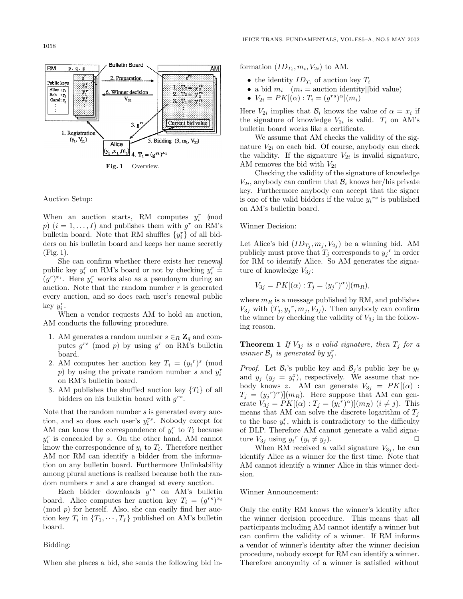RM

 $p, q, g$ 

2. Preparation Public key  ${\bf y}_3^{\bf r}$  $\begin{array}{l} \mathbf{T}_2 = \ \mathbf{y}_2^{\ r_2} \\ \mathbf{T}_3 = \ \mathbf{y}_3^{\ r_2} \end{array}$ 1, Alice :  $y_1$  $y_1^r$ <br> $y_2^r$ Winner decision  $\overline{\mathbf{2}}$  $Bob_3$  $\rm V_{31}$ Carol:  $y_3$ 3.  $T_i = y_1^{rs}$ Current bid value  $3.9$ 1. Registration  $(y_1, V_{11})$ 5. Bidding  $(3, m_1, V_{21})$ Alice  $(y_1, x_1, m_1)$ 4.  $T_1 = (g^{rs})^{x_1}$ 

**Bulletin Board** 

**Fig. 1** Overview.

#### Auction Setup:

When an auction starts, RM computes  $y_i^r$  (mod p)  $(i = 1, \ldots, I)$  and publishes them with  $g^r$  on RM's bullet<br>in board. Note that RM shuffles  $\{y_i^r\}$  of all bidders on his bulletin board and keeps her name secretly (Fig. 1).

She can confirm whether there exists her renewal public key  $y_i^r$  on RM's board or not by checking  $y_i^r$  $\stackrel{?}{=}$  $(g<sup>r</sup>)<sup>x<sub>i</sub></sup>$ . Here  $y<sub>i</sub><sup>r</sup>$  works also as a pseudonym during an auction. Note that the random number  $r$  is generated every auction, and so does each user's renewal public key  $y_i^r$ .

When a vendor requests AM to hold an auction, AM conducts the following procedure.

- 1. AM generates a random number  $s \in_R \mathbb{Z}_q$  and computes  $g^{rs}$  (mod p) by using  $g^r$  on RM's bulletin board.
- 2. AM computes her auction key  $T_i = (y_i^r)^s$  (mod  $p$ ) by using the private random number s and  $y_i^r$ on RM's bulletin board.
- 3. AM publishes the shuffled auction key  $\{T_i\}$  of all bidders on his bulletin board with  $g^{rs}$ .

Note that the random number s is generated every auction, and so does each user's  $y_i^{rs}$ . Nobody except for AM can know the correspondence of  $y_i^r$  to  $T_i$  because  $y_i^r$  is concealed by s. On the other hand, AM cannot know the correspondence of  $y_i$  to  $T_i$ . Therefore neither AM nor RM can identify a bidder from the information on any bulletin board. Furthermore Unlinkability among plural auctions is realized because both the random numbers r and s are changed at every auction.

Each bidder downloads  $g^{rs}$  on AM's bulletin board. Alice computes her auction key  $T_i = (q^{rs})^{x_i}$  $(mod p)$  for herself. Also, she can easily find her auction key  $T_i$  in  $\{T_1, \dots, T_I\}$  published on AM's bulletin board.

## Bidding:

When she places a bid, she sends the following bid in-

formation  $(ID_T, m_i, V_{2i})$  to AM.

**AM** 

- the identity  $ID_{T_i}$  of auction key  $T_i$
- a bid  $m_i$  ( $m_i$  = auction identity||bid value)
- $V_{2i} = PK[(\alpha):T_i = (g^{rs})^{\alpha}](m_i)$

Here  $V_{2i}$  implies that  $\mathcal{B}_i$  knows the value of  $\alpha = x_i$  if the signature of knowledge  $V_{2i}$  is valid.  $T_i$  on AM's bulletin board works like a certificate.

We assume that AM checks the validity of the signature  $V_{2i}$  on each bid. Of course, anybody can check the validity. If the signature  $V_{2i}$  is invalid signature, AM removes the bid with  $V_{2i}$ 

Checking the validity of the signature of knowledge  $V_{2i}$ , anybody can confirm that  $\mathcal{B}_i$  knows her/his private key. Furthermore anybody can accept that the signer is one of the valid bidders if the value  $y_i$ <sup>rs</sup> is published on AM's bulletin board.

Winner Decision:

Let Alice's bid  $(ID_{T_i}, m_j, V_{2j} )$  be a winning bid. AM publicly must prove that  $T_j$  corresponds to  $y_j^r$  in order for RM to identify Alice. So AM generates the signature of knowledge  $V_{3i}$ :

$$
V_{3j} = PK[(\alpha) : T_j = (y_j^r)^{\alpha})](m_R),
$$

where  $m_R$  is a message published by RM, and publishes  $V_{3j}$  with  $(T_j, y_j^r, m_j, V_{2j})$ . Then anybody can confirm the winner by checking the validity of  $V_{3j}$  in the following reason.

**Theorem 1** If  $V_{3j}$  is a valid signature, then  $T_j$  for a winner  $\mathcal{B}_j$  is generated by  $y_j^r$ .

*Proof.* Let  $\mathcal{B}_i$ 's public key and  $\mathcal{B}_i$ 's public key be  $y_i$ and  $y_j$   $(y_j = y_i^z)$ , respectively. We assume that nobody knows z. AM can generate  $V_{3j} = PK[(\alpha)$ :  $T_j = (y_j^r)^{\alpha}$ ]( $m_R$ ). Here suppose that AM can generate  $V_{3j} = PK[(\alpha) : T_j = (y_i^r)^{\alpha})](m_R)$   $(i \neq j)$ . This means that AM can solve the discrete logarithm of  $T_i$ to the base  $y_i^r$ , which is contradictory to the difficulty of DLP. Therefore AM cannot generate a valid signature  $V_{3j}$  using  $y_i^r$   $(y_i \neq y_j)$ .

When RM received a valid signature  $V_{3j}$ , he can identify Alice as a winner for the first time. Note that AM cannot identify a winner Alice in this winner decision.

#### Winner Announcement:

Only the entity RM knows the winner's identity after the winner decision procedure. This means that all participants including AM cannot identify a winner but can confirm the validity of a winner. If RM informs a vendor of winner's identity after the winner decision procedure, nobody except for RM can identify a winner. Therefore anonymity of a winner is satisfied without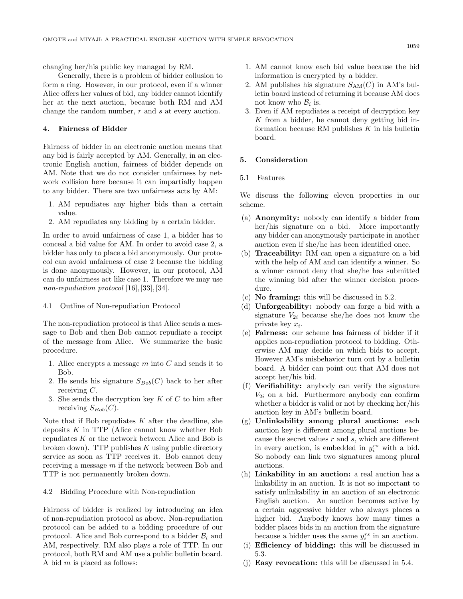changing her/his public key managed by RM.

Generally, there is a problem of bidder collusion to form a ring. However, in our protocol, even if a winner Alice offers her values of bid, any bidder cannot identify her at the next auction, because both RM and AM change the random number, r and s at every auction.

## **4.** Fairness of Bidder

Fairness of bidder in an electronic auction means that any bid is fairly accepted by AM. Generally, in an electronic English auction, fairness of bidder depends on AM. Note that we do not consider unfairness by network collision here because it can impartially happen to any bidder. There are two unfairness acts by AM:

- 1. AM repudiates any higher bids than a certain value.
- 2. AM repudiates any bidding by a certain bidder.

In order to avoid unfairness of case 1, a bidder has to conceal a bid value for AM. In order to avoid case 2, a bidder has only to place a bid anonymously. Our protocol can avoid unfairness of case 2 because the bidding is done anonymously. However, in our protocol, AM can do unfairness act like case 1. Therefore we may use non-repudiation protocol [16], [33], [34].

#### 4.1 Outline of Non-repudiation Protocol

The non-repudiation protocol is that Alice sends a message to Bob and then Bob cannot repudiate a receipt of the message from Alice. We summarize the basic procedure.

- 1. Alice encrypts a message  $m$  into  $C$  and sends it to Bob.
- 2. He sends his signature  $S_{Bob}(C)$  back to her after receiving  $C$ .
- 3. She sends the decryption key  $K$  of  $C$  to him after receiving  $S_{Bob}(C)$ .

Note that if Bob repudiates  $K$  after the deadline, she deposits  $K$  in TTP (Alice cannot know whether Bob repudiates  $K$  or the network between Alice and Bob is broken down). TTP publishes  $K$  using public directory service as soon as TTP receives it. Bob cannot deny receiving a message m if the network between Bob and TTP is not permanently broken down.

4.2 Bidding Procedure with Non-repudiation

Fairness of bidder is realized by introducing an idea of non-repudiation protocol as above. Non-repudiation protocol can be added to a bidding procedure of our protocol. Alice and Bob correspond to a bidder  $B_i$  and AM, respectively. RM also plays a role of TTP. In our protocol, both RM and AM use a public bulletin board. A bid  $m$  is placed as follows:

- 1. AM cannot know each bid value because the bid information is encrypted by a bidder.
- 2. AM publishes his signature  $S_{AM}(C)$  in AM's bulletin board instead of returning it because AM does not know who  $B_i$  is.
- 3. Even if AM repudiates a receipt of decryption key K from a bidder, he cannot deny getting bid information because RM publishes  $K$  in his bulletin board.

## **5. Consideration**

5.1 Features

We discuss the following eleven properties in our scheme.

- (a) **Anonymity:** nobody can identify a bidder from her/his signature on a bid. More importantly any bidder can anonymously participate in another auction even if she/he has been identified once.
- (b) **Traceability:** RM can open a signature on a bid with the help of AM and can identify a winner. So a winner cannot deny that she/he has submitted the winning bid after the winner decision procedure.
- (c) **No framing:** this will be discussed in 5.2.
- (d) **Unforgeability:** nobody can forge a bid with a signature  $V_{2i}$  because she/he does not know the private key  $x_i$ .
- (e) **Fairness:** our scheme has fairness of bidder if it applies non-repudiation protocol to bidding. Otherwise AM may decide on which bids to accept. However AM's misbehavior turn out by a bulletin board. A bidder can point out that AM does not accept her/his bid.
- (f) **Verifiability:** anybody can verify the signature  $V_{2i}$  on a bid. Furthermore anybody can confirm whether a bidder is valid or not by checking her/his auction key in AM's bulletin board.
- (g) **Unlinkability among plural auctions:** each auction key is different among plural auctions because the secret values r and s, which are different in every auction, is embedded in  $y_i^{rs}$  with a bid. So nobody can link two signatures among plural auctions.
- (h) **Linkability in an auction:** a real auction has a linkability in an auction. It is not so important to satisfy unlinkability in an auction of an electronic English auction. An auction becomes active by a certain aggressive bidder who always places a higher bid. Anybody knows how many times a bidder places bids in an auction from the signature because a bidder uses the same  $y_i^{rs}$  in an auction.
- (i) **Efficiency of bidding:** this will be discussed in 5.3.
- (j) **Easy revocation:** this will be discussed in 5.4.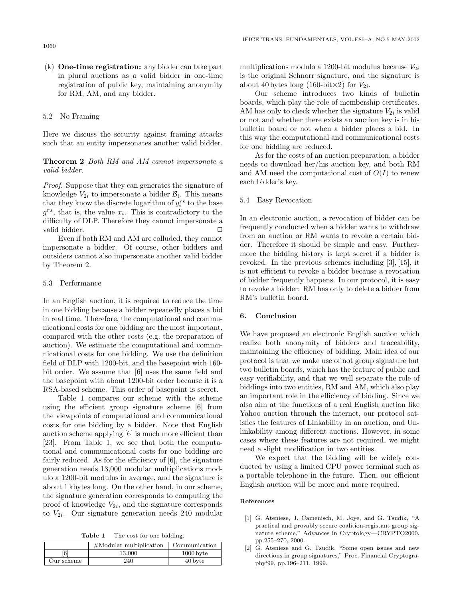(k) **One-time registration:** any bidder can take part in plural auctions as a valid bidder in one-time registration of public key, maintaining anonymity for RM, AM, and any bidder.

## 5.2 No Framing

Here we discuss the security against framing attacks such that an entity impersonates another valid bidder.

## **Theorem 2** Both RM and AM cannot impersonate a valid bidder.

Proof. Suppose that they can generates the signature of knowledge  $V_{2i}$  to impersonate a bidder  $\mathcal{B}_i$ . This means that they know the discrete logarithm of  $y_i^{rs}$  to the base  $g^{rs}$ , that is, the value  $x_i$ . This is contradictory to the difficulty of DLP. Therefore they cannot impersonate a valid bidder.

Even if both RM and AM are colluded, they cannot impersonate a bidder. Of course, other bidders and outsiders cannot also impersonate another valid bidder by Theorem 2.

#### 5.3 Performance

In an English auction, it is required to reduce the time in one bidding because a bidder repeatedly places a bid in real time. Therefore, the computational and communicational costs for one bidding are the most important, compared with the other costs (e.g. the preparation of auction). We estimate the computational and communicational costs for one bidding. We use the definition field of DLP with 1200-bit, and the basepoint with 160 bit order. We assume that [6] uses the same field and the basepoint with about 1200-bit order because it is a RSA-based scheme. This order of basepoint is secret.

Table 1 compares our scheme with the scheme using the efficient group signature scheme [6] from the viewpoints of computational and communicational costs for one bidding by a bidder. Note that English auction scheme applying [6] is much more efficient than [23]. From Table 1, we see that both the computational and communicational costs for one bidding are fairly reduced. As for the efficiency of [6], the signature generation needs 13,000 modular multiplications modulo a 1200-bit modulus in average, and the signature is about 1 kbytes long. On the other hand, in our scheme, the signature generation corresponds to computing the proof of knowledge  $V_{2i}$ , and the signature corresponds to  $V_{2i}$ . Our signature generation needs 240 modular

**Table 1** The cost for one bidding.

|            | $#$ Modular multiplication | Communication |
|------------|----------------------------|---------------|
| 6          | 13.000                     | $1000$ byte   |
| Our scheme | 240                        | 40 byte       |

multiplications modulo a 1200-bit modulus because  $V_{2i}$ is the original Schnorr signature, and the signature is about 40 bytes long (160-bit $\times$ 2) for  $V_{2i}$ .

Our scheme introduces two kinds of bulletin boards, which play the role of membership certificates. AM has only to check whether the signature  $V_{2i}$  is valid or not and whether there exists an auction key is in his bulletin board or not when a bidder places a bid. In this way the computational and communicational costs for one bidding are reduced.

As for the costs of an auction preparation, a bidder needs to download her/his auction key, and both RM and AM need the computational cost of  $O(I)$  to renew each bidder's key.

#### 5.4 Easy Revocation

In an electronic auction, a revocation of bidder can be frequently conducted when a bidder wants to withdraw from an auction or RM wants to revoke a certain bidder. Therefore it should be simple and easy. Furthermore the bidding history is kept secret if a bidder is revoked. In the previous schemes including [3], [15], it is not efficient to revoke a bidder because a revocation of bidder frequently happens. In our protocol, it is easy to revoke a bidder: RM has only to delete a bidder from RM's bulletin board.

## **6. Conclusion**

We have proposed an electronic English auction which realize both anonymity of bidders and traceability, maintaining the efficiency of bidding. Main idea of our protocol is that we make use of not group signature but two bulletin boards, which has the feature of public and easy verifiability, and that we well separate the role of biddings into two entities, RM and AM, which also play an important role in the efficiency of bidding. Since we also aim at the functions of a real English auction like Yahoo auction through the internet, our protocol satisfies the features of Linkability in an auction, and Unlinkability among different auctions. However, in some cases where these features are not required, we might need a slight modification in two entities.

We expect that the bidding will be widely conducted by using a limited CPU power terminal such as a portable telephone in the future. Then, our efficient English auction will be more and more required.

#### **References**

- [1] G. Ateniese, J. Camenisch, M. Joye, and G. Tsudik, "A practical and provably secure coalition-registant group signature scheme," Advances in Cryptology—CRYPTO2000, pp.255–270, 2000.
- [2] G. Ateniese and G. Tsudik, "Some open issues and new directions in group signatures," Proc. Financial Cryptography'99, pp.196–211, 1999.